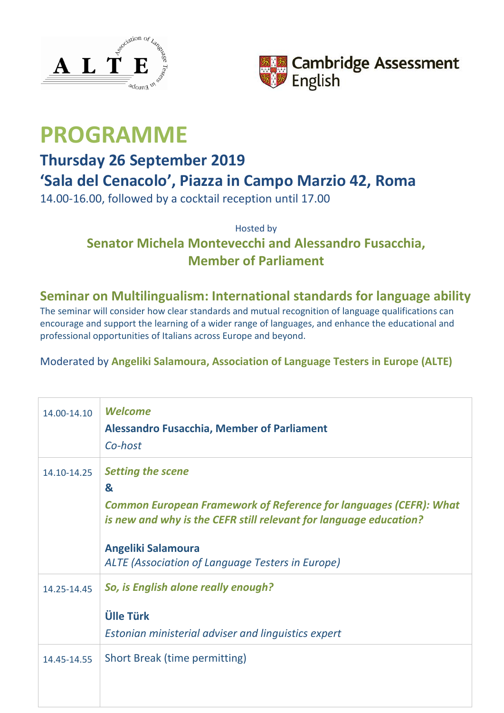



# **PROGRAMME**

## **Thursday 26 September 2019**

## **'Sala del Cenacolo', Piazza in Campo Marzio 42, Roma**

14.00-16.00, followed by a cocktail reception until 17.00

### Hosted by **Senator Michela Montevecchi and Alessandro Fusacchia, Member of Parliament**

#### **Seminar on Multilingualism: International standards for language ability**

The seminar will consider how clear standards and mutual recognition of language qualifications can encourage and support the learning of a wider range of languages, and enhance the educational and professional opportunities of Italians across Europe and beyond.

#### Moderated by **Angeliki Salamoura, Association of Language Testers in Europe (ALTE)**

| 14.00-14.10 | <b>Welcome</b><br><b>Alessandro Fusacchia, Member of Parliament</b><br>Co-host                                                                                                                                                                                  |
|-------------|-----------------------------------------------------------------------------------------------------------------------------------------------------------------------------------------------------------------------------------------------------------------|
| 14.10-14.25 | <b>Setting the scene</b><br>&<br><b>Common European Framework of Reference for languages (CEFR): What</b><br>is new and why is the CEFR still relevant for language education?<br><b>Angeliki Salamoura</b><br>ALTE (Association of Language Testers in Europe) |
| 14.25-14.45 | So, is English alone really enough?<br><b>Ülle Türk</b><br>Estonian ministerial adviser and linguistics expert                                                                                                                                                  |
| 14.45-14.55 | Short Break (time permitting)                                                                                                                                                                                                                                   |